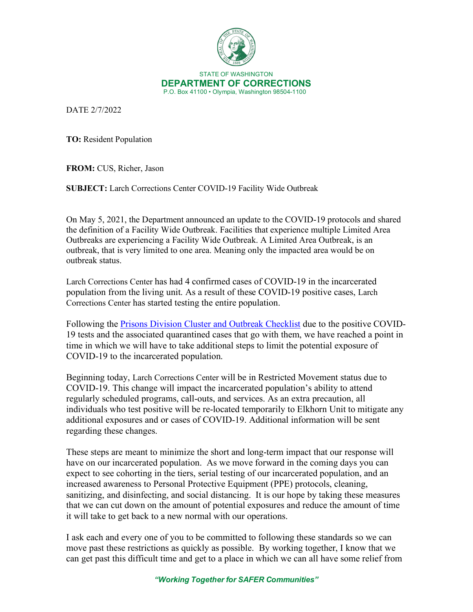

DATE 2/7/2022

**TO:** Resident Population

**FROM:** CUS, Richer, Jason

**SUBJECT:** Larch Corrections Center COVID-19 Facility Wide Outbreak

On May 5, 2021, the Department announced an update to the COVID-19 protocols and shared the definition of a Facility Wide Outbreak. Facilities that experience multiple Limited Area Outbreaks are experiencing a Facility Wide Outbreak. A Limited Area Outbreak, is an outbreak, that is very limited to one area. Meaning only the impacted area would be on outbreak status.

Larch Corrections Center has had 4 confirmed cases of COVID-19 in the incarcerated population from the living unit. As a result of these COVID-19 positive cases, Larch Corrections Center has started testing the entire population.

Following the [Prisons Division Cluster and Outbreak Checklist](https://doc.wa.gov/corrections/covid-19/docs/outbreak-checklist.pdf) due to the positive COVID-19 tests and the associated quarantined cases that go with them, we have reached a point in time in which we will have to take additional steps to limit the potential exposure of COVID-19 to the incarcerated population.

Beginning today, Larch Corrections Center will be in Restricted Movement status due to COVID-19. This change will impact the incarcerated population's ability to attend regularly scheduled programs, call-outs, and services. As an extra precaution, all individuals who test positive will be re-located temporarily to Elkhorn Unit to mitigate any additional exposures and or cases of COVID-19. Additional information will be sent regarding these changes.

These steps are meant to minimize the short and long-term impact that our response will have on our incarcerated population. As we move forward in the coming days you can expect to see cohorting in the tiers, serial testing of our incarcerated population, and an increased awareness to Personal Protective Equipment (PPE) protocols, cleaning, sanitizing, and disinfecting, and social distancing. It is our hope by taking these measures that we can cut down on the amount of potential exposures and reduce the amount of time it will take to get back to a new normal with our operations.

I ask each and every one of you to be committed to following these standards so we can move past these restrictions as quickly as possible. By working together, I know that we can get past this difficult time and get to a place in which we can all have some relief from